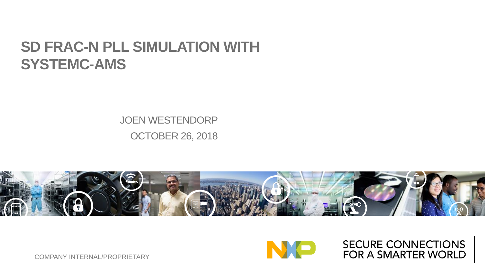#### **SD FRAC-N PLL SIMULATION WITH SYSTEMC-AMS**

JOEN WESTENDORP OCTOBER 26, 2018





**SECURE CONNECTIONS** FOR A SMARTER WORLD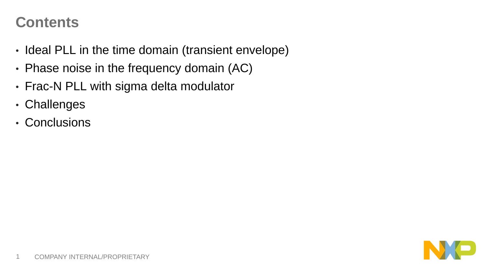#### **Contents**

- Ideal PLL in the time domain (transient envelope)
- Phase noise in the frequency domain (AC)
- Frac-N PLL with sigma delta modulator
- Challenges
- Conclusions

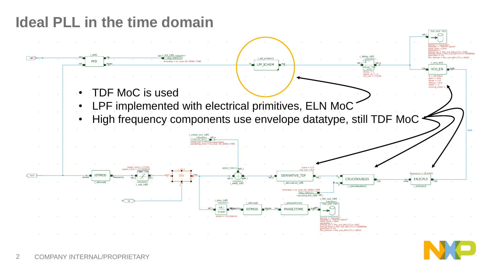# **Ideal PLL in the time domain**

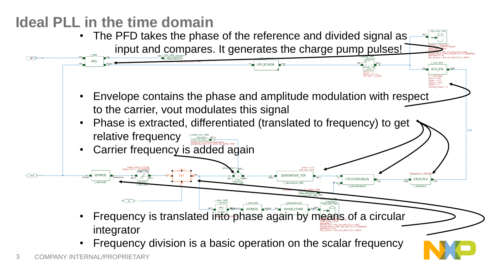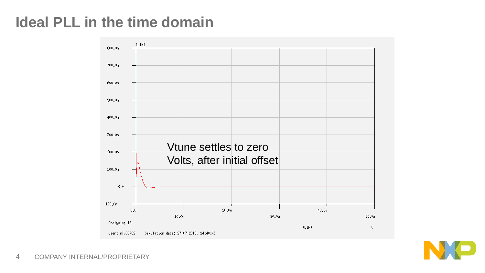# **Ideal PLL in the time domain**



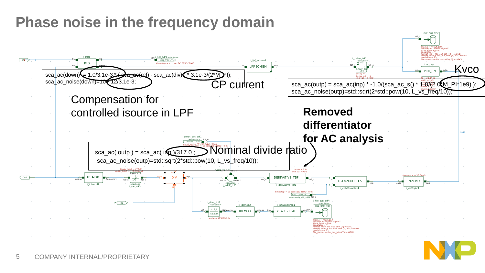# **Phase noise in the frequency domain**

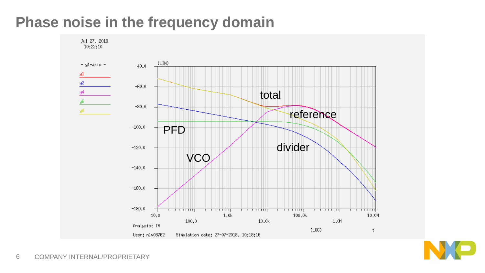#### **Phase noise in the frequency domain**



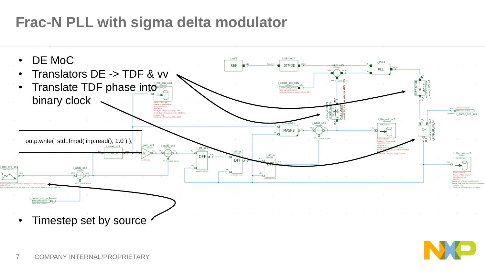# **Frac-N PLL with sigma delta modulator**



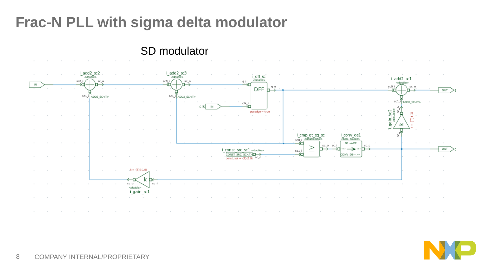# **Frac-N PLL with sigma delta modulator**

#### SD modulator



![](_page_8_Picture_4.jpeg)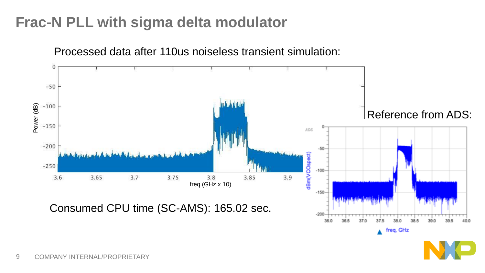# **Frac-N PLL with sigma delta modulator**

![](_page_9_Figure_1.jpeg)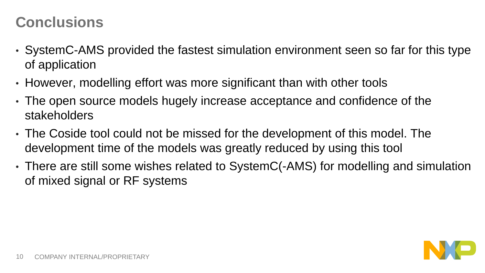#### **Conclusions**

- SystemC-AMS provided the fastest simulation environment seen so far for this type of application
- However, modelling effort was more significant than with other tools
- The open source models hugely increase acceptance and confidence of the stakeholders
- The Coside tool could not be missed for the development of this model. The development time of the models was greatly reduced by using this tool
- There are still some wishes related to SystemC(-AMS) for modelling and simulation of mixed signal or RF systems

![](_page_10_Picture_6.jpeg)